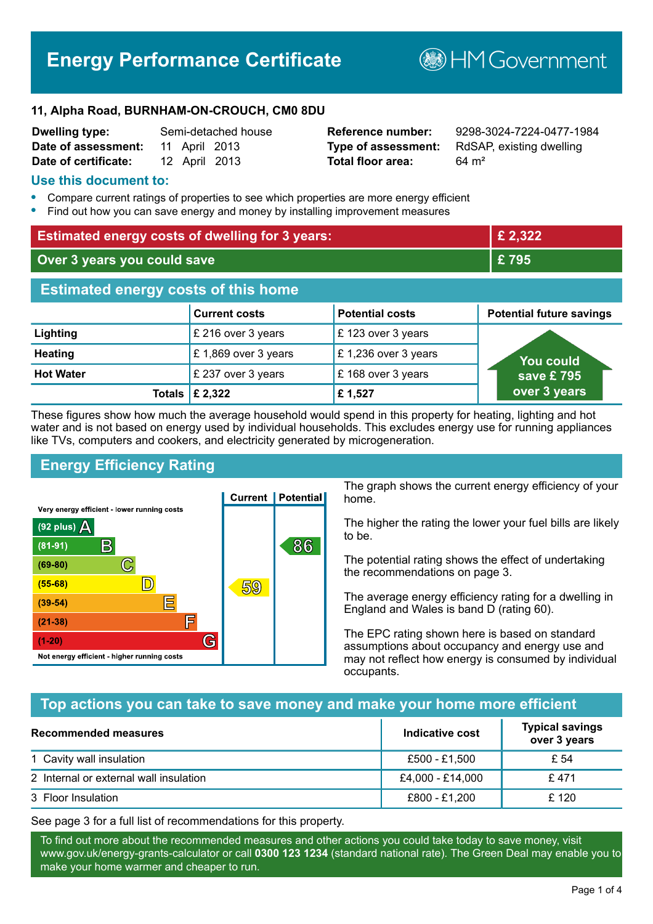# **Energy Performance Certificate**

**B**HM Government

#### **11, Alpha Road, BURNHAM-ON-CROUCH, CM0 8DU**

| <b>Dwelling type:</b> |               | Semi-detached hous |
|-----------------------|---------------|--------------------|
| Date of assessment:   | 11 April 2013 |                    |
| Date of certificate:  |               | 12 April 2013      |

# **Total floor area:** 64 m<sup>2</sup>

**Dwelling type:** Semi-detached house **Reference number:** 9298-3024-7224-0477-1984 **Type of assessment:** RdSAP, existing dwelling

#### **Use this document to:**

- **•** Compare current ratings of properties to see which properties are more energy efficient
- **•** Find out how you can save energy and money by installing improvement measures

| <b>Estimated energy costs of dwelling for 3 years:</b> |                      | £ 2,322                |                                 |
|--------------------------------------------------------|----------------------|------------------------|---------------------------------|
| Over 3 years you could save                            |                      | £795                   |                                 |
| <b>Estimated energy costs of this home</b>             |                      |                        |                                 |
|                                                        | <b>Current costs</b> | <b>Potential costs</b> | <b>Potential future savings</b> |
| Lighting                                               | £ 216 over 3 years   | £123 over 3 years      |                                 |
| <b>Heating</b>                                         | £1,869 over 3 years  | £1,236 over 3 years    | <b>You could</b>                |
| <b>Hot Water</b>                                       | £ 237 over 3 years   | £168 over 3 years      | save £795                       |
| <b>Totals</b>                                          | £ 2,322              | £1,527                 | over 3 years                    |

These figures show how much the average household would spend in this property for heating, lighting and hot water and is not based on energy used by individual households. This excludes energy use for running appliances like TVs, computers and cookers, and electricity generated by microgeneration.

# **Energy Efficiency Rating**



The graph shows the current energy efficiency of your home.

The higher the rating the lower your fuel bills are likely to be.

The potential rating shows the effect of undertaking the recommendations on page 3.

The average energy efficiency rating for a dwelling in England and Wales is band D (rating 60).

The EPC rating shown here is based on standard assumptions about occupancy and energy use and may not reflect how energy is consumed by individual occupants.

# **Top actions you can take to save money and make your home more efficient**

| <b>Recommended measures</b>            | Indicative cost  | <b>Typical savings</b><br>over 3 years |
|----------------------------------------|------------------|----------------------------------------|
| 1 Cavity wall insulation               | £500 - £1,500    | £ 54                                   |
| 2 Internal or external wall insulation | £4,000 - £14,000 | £471                                   |
| 3 Floor Insulation                     | £800 - £1,200    | £120                                   |

See page 3 for a full list of recommendations for this property.

To find out more about the recommended measures and other actions you could take today to save money, visit www.gov.uk/energy-grants-calculator or call **0300 123 1234** (standard national rate). The Green Deal may enable you to make your home warmer and cheaper to run.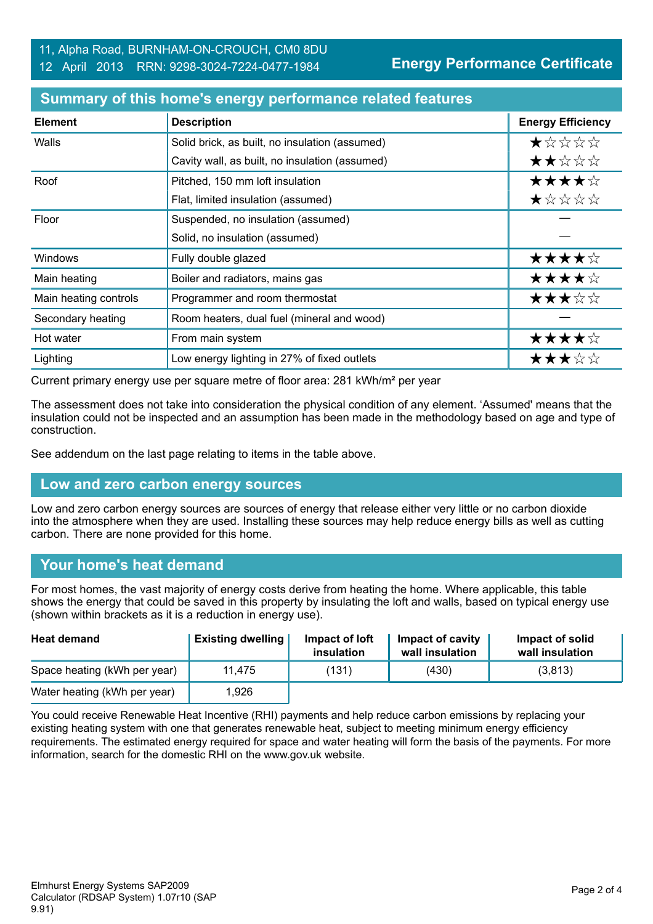**Energy Performance Certificate**

| <b>Element</b>        | <b>Description</b>                             | <b>Energy Efficiency</b> |
|-----------------------|------------------------------------------------|--------------------------|
| Walls                 | Solid brick, as built, no insulation (assumed) | *****                    |
|                       | Cavity wall, as built, no insulation (assumed) | ★★☆☆☆                    |
| Roof                  | Pitched, 150 mm loft insulation                | ★★★★☆                    |
|                       | Flat, limited insulation (assumed)             | ★☆☆☆☆                    |
| Floor                 | Suspended, no insulation (assumed)             |                          |
|                       | Solid, no insulation (assumed)                 |                          |
| <b>Windows</b>        | Fully double glazed                            | ★★★★☆                    |
| Main heating          | Boiler and radiators, mains gas                | ★★★★☆                    |
| Main heating controls | Programmer and room thermostat                 | ★★★☆☆                    |
| Secondary heating     | Room heaters, dual fuel (mineral and wood)     |                          |
| Hot water             | From main system                               | ★★★★☆                    |
| Lighting              | Low energy lighting in 27% of fixed outlets    | ★★★☆☆                    |

#### **Summary of this home's energy performance related features**

Current primary energy use per square metre of floor area: 281 kWh/m² per year

The assessment does not take into consideration the physical condition of any element. 'Assumed' means that the insulation could not be inspected and an assumption has been made in the methodology based on age and type of construction.

See addendum on the last page relating to items in the table above.

# **Low and zero carbon energy sources**

Low and zero carbon energy sources are sources of energy that release either very little or no carbon dioxide into the atmosphere when they are used. Installing these sources may help reduce energy bills as well as cutting carbon. There are none provided for this home.

#### **Your home's heat demand**

For most homes, the vast majority of energy costs derive from heating the home. Where applicable, this table shows the energy that could be saved in this property by insulating the loft and walls, based on typical energy use (shown within brackets as it is a reduction in energy use).

| <b>Heat demand</b>           | <b>Existing dwelling</b> | Impact of loft<br>insulation | Impact of cavity<br>wall insulation | Impact of solid<br>wall insulation |
|------------------------------|--------------------------|------------------------------|-------------------------------------|------------------------------------|
| Space heating (kWh per year) | 11.475                   | (131)                        | (430)                               | (3,813)                            |
| Water heating (kWh per year) | 1,926                    |                              |                                     |                                    |

You could receive Renewable Heat Incentive (RHI) payments and help reduce carbon emissions by replacing your existing heating system with one that generates renewable heat, subject to meeting minimum energy efficiency requirements. The estimated energy required for space and water heating will form the basis of the payments. For more information, search for the domestic RHI on the www.gov.uk website.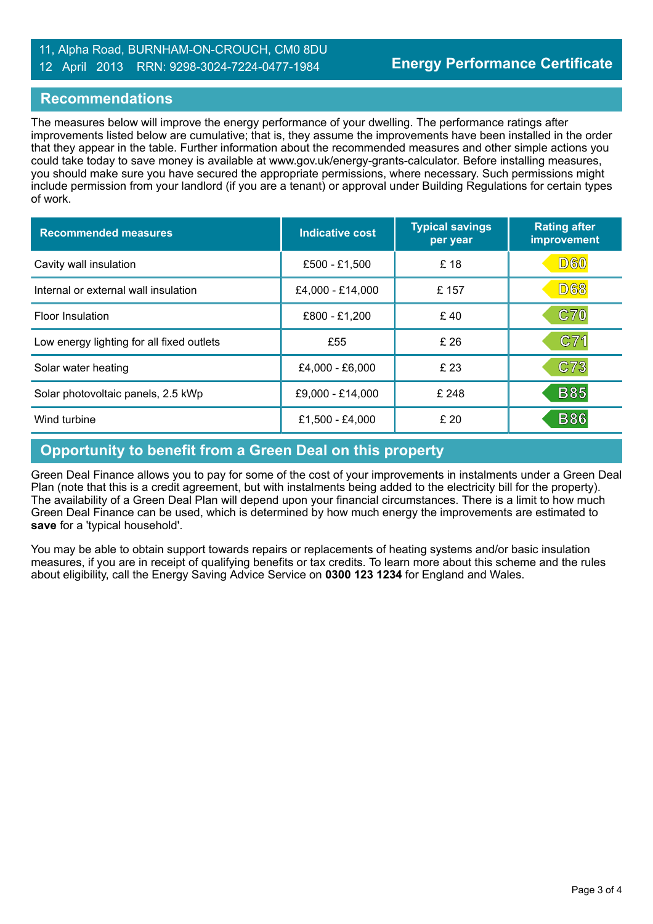### 11, Alpha Road, BURNHAM-ON-CROUCH, CM0 8DU 12 April 2013 RRN: 9298-3024-7224-0477-1984

#### **Recommendations**

The measures below will improve the energy performance of your dwelling. The performance ratings after improvements listed below are cumulative; that is, they assume the improvements have been installed in the order that they appear in the table. Further information about the recommended measures and other simple actions you could take today to save money is available at www.gov.uk/energy-grants-calculator. Before installing measures, you should make sure you have secured the appropriate permissions, where necessary. Such permissions might include permission from your landlord (if you are a tenant) or approval under Building Regulations for certain types of work.

| <b>Recommended measures</b>               | Indicative cost  | <b>Typical savings</b><br>per year | <b>Rating after</b><br>improvement |
|-------------------------------------------|------------------|------------------------------------|------------------------------------|
| Cavity wall insulation                    | £500 - £1,500    | £ 18                               | <b>D60</b>                         |
| Internal or external wall insulation      | £4,000 - £14,000 | £157                               | <b>D68</b>                         |
| <b>Floor Insulation</b>                   | £800 - £1,200    | £40                                | <b>C70</b>                         |
| Low energy lighting for all fixed outlets | £55              | £ 26                               | C7 <sub>1</sub>                    |
| Solar water heating                       | £4,000 - £6,000  | £23                                | C73                                |
| Solar photovoltaic panels, 2.5 kWp        | £9,000 - £14,000 | £ 248                              | <b>B85</b>                         |
| Wind turbine                              | £1.500 - £4.000  | £20                                | <b>B86</b>                         |

# **Opportunity to benefit from a Green Deal on this property**

Green Deal Finance allows you to pay for some of the cost of your improvements in instalments under a Green Deal Plan (note that this is a credit agreement, but with instalments being added to the electricity bill for the property). The availability of a Green Deal Plan will depend upon your financial circumstances. There is a limit to how much Green Deal Finance can be used, which is determined by how much energy the improvements are estimated to **save** for a 'typical household'.

You may be able to obtain support towards repairs or replacements of heating systems and/or basic insulation measures, if you are in receipt of qualifying benefits or tax credits. To learn more about this scheme and the rules about eligibility, call the Energy Saving Advice Service on **0300 123 1234** for England and Wales.